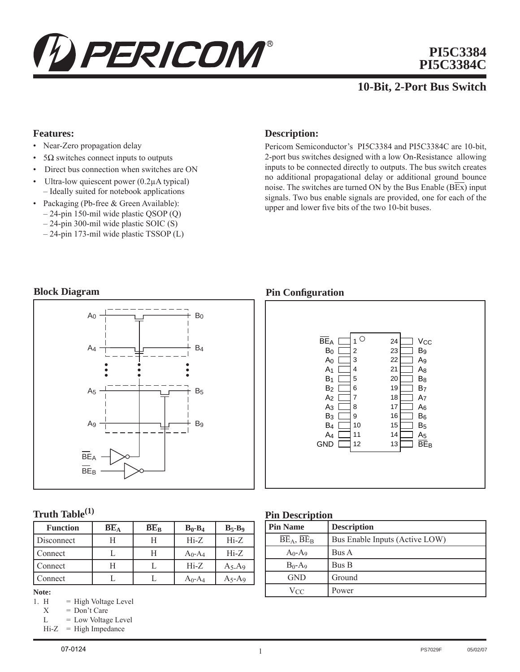

# **PI5C3384 PI5C3384C**

# **10-Bit, 2-Port Bus Switch**

#### **Features:**

- Near-Zero propagation delay
- $5\Omega$  switches connect inputs to outputs
- Direct bus connection when switches are ON
- Ultra-low quiescent power (0.2μA typical) – Ideally suited for notebook applications
- Packaging (Pb-free & Green Available):
	- 24-pin 150-mil wide plastic QSOP (Q)
	- 24-pin 300-mil wide plastic SOIC (S)
	- 24-pin 173-mil wide plastic TSSOP (L)

## **Description:**

Pericom Semiconductor's PI5C3384 and PI5C3384C are 10-bit, 2-port bus switches designed with a low On-Resistance allowing inputs to be connected directly to outputs. The bus switch creates no additional propagational delay or additional ground bounce noise. The switches are turned ON by the Bus Enable  $(BEx)$  input signals. Two bus enable signals are provided, one for each of the upper and lower five bits of the two 10-bit buses.

### **Block Diagram**



# **Truth Table(1)**

| <b>Function</b> | $\overline{\text{BE}}_{\text{A}}$ | $\overline{BE}_B$ | $B_0 - B_4$           | $B_5 - B_9$ |
|-----------------|-----------------------------------|-------------------|-----------------------|-------------|
| Disconnect      | Н                                 | Н                 | $Hi-Z$                | $Hi-Z$      |
| Connect         |                                   | Н                 | $A_0$ -A <sub>4</sub> | $Hi-Z$      |
| Connect         |                                   |                   | $Hi-Z$                | $A_5.A_9$   |
| `onnect         |                                   |                   | $A_0$ -A <sub>4</sub> | A5-A9       |

# **Note:**<br>1. **H**

- $=$  High Voltage Level
- $X = Don't Care$
- $L = Low Voltage Level$
- $Hi-Z = High Impedance$

#### 07-0124

#### **Pin Configuration**



#### **Pin Description**

| <b>Pin Name</b> | <b>Description</b>             |  |  |  |
|-----------------|--------------------------------|--|--|--|
| $BE_A$ , $BE_B$ | Bus Enable Inputs (Active LOW) |  |  |  |
| $A_0 - A_9$     | Bus A                          |  |  |  |
| $B_0-A_9$       | Bus B                          |  |  |  |
| <b>GND</b>      | Ground                         |  |  |  |
| Vcc             | Power                          |  |  |  |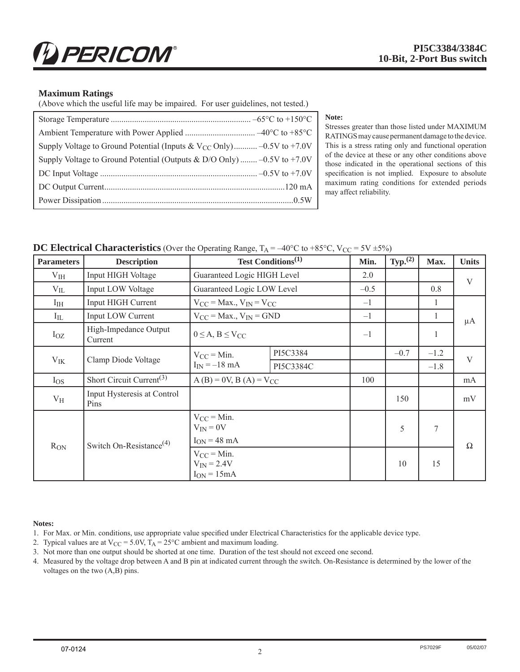#### **Maximum Ratings**

(Above which the useful life may be impaired. For user guidelines, not tested.)

| Supply Voltage to Ground Potential (Inputs & V <sub>CC</sub> Only) -0.5V to +7.0V |
|-----------------------------------------------------------------------------------|
| Supply Voltage to Ground Potential (Outputs & D/O Only) $-0.5V$ to +7.0V          |
|                                                                                   |
|                                                                                   |
|                                                                                   |

Stresses greater than those listed under MAXIMUM RATINGS may cause permanent damage to the device. This is a stress rating only and functional operation of the device at these or any other conditions above those indicated in the operational sections of this specification is not implied. Exposure to absolute maximum rating conditions for extended periods may affect reliability.

**Note:**

**DC Electrical Characteristics** (Over the Operating Range,  $T_A = -40^{\circ}C$  to  $+85^{\circ}C$ ,  $V_{CC} = 5V \pm 5\%$ )

| <b>Parameters</b> | <b>Description</b>                               | Test Conditions <sup>(1)</sup>                        |           | Min.   | $Typ.$ <sup>(2)</sup> | Max.   | <b>Units</b> |
|-------------------|--------------------------------------------------|-------------------------------------------------------|-----------|--------|-----------------------|--------|--------------|
| $V_{HH}$          | Input HIGH Voltage                               | Guaranteed Logic HIGH Level                           |           | 2.0    |                       |        | V            |
| $V_{IL}$          | Input LOW Voltage                                | Guaranteed Logic LOW Level                            |           | $-0.5$ |                       | 0.8    |              |
| $I_{IH}$          | <b>Input HIGH Current</b>                        | $V_{CC}$ = Max., $V_{IN}$ = $V_{CC}$                  |           | $-1$   |                       | 1      |              |
| $I_{IL}$          | Input LOW Current                                | $V_{CC}$ = Max., $V_{IN}$ = GND                       |           | $-1$   |                       | 1      | $\mu A$      |
| $I_{OZ}$          | High-Impedance Output<br>Current                 | $0 \leq A, B \leq V_{CC}$                             |           | $-1$   |                       | 1      |              |
|                   |                                                  | $V_{CC}$ = Min.<br>$I_{IN} = -18$ mA                  | PI5C3384  |        | $-0.7$                | $-1.2$ | V            |
| $V_{IK}$          | Clamp Diode Voltage                              |                                                       | PI5C3384C |        |                       | $-1.8$ |              |
| $I_{OS}$          | Short Circuit Current <sup>(3)</sup>             | $A(B) = 0V$ , $B(A) = V_{CC}$                         |           | 100    |                       |        | mA           |
| $V_{\rm H}$       | Input Hysteresis at Control<br>Pins              |                                                       |           |        | 150                   |        | mV           |
|                   |                                                  | $V_{CC} = Min$ .<br>$V_{IN} = 0V$                     |           |        | 5                     | $\tau$ |              |
| $R_{ON}$          | Switch On-Resistance <sup><math>(4)</math></sup> | $I_{ON}$ = 48 mA                                      |           |        |                       |        | $\Omega$     |
|                   |                                                  | $V_{CC} =$ Min.<br>$V_{IN}$ = 2.4V<br>$I_{ON} = 15mA$ |           |        | 10                    | 15     |              |

#### **Notes:**

1. For Max. or Min. conditions, use appropriate value specified under Electrical Characteristics for the applicable device type.

2. Typical values are at  $V_{CC} = 5.0V$ ,  $T_A = 25^{\circ}C$  ambient and maximum loading.

3. Not more than one output should be shorted at one time. Duration of the test should not exceed one second.

4. Measured by the voltage drop between A and B pin at indicated current through the switch. On-Resistance is determined by the lower of the voltages on the two (A,B) pins.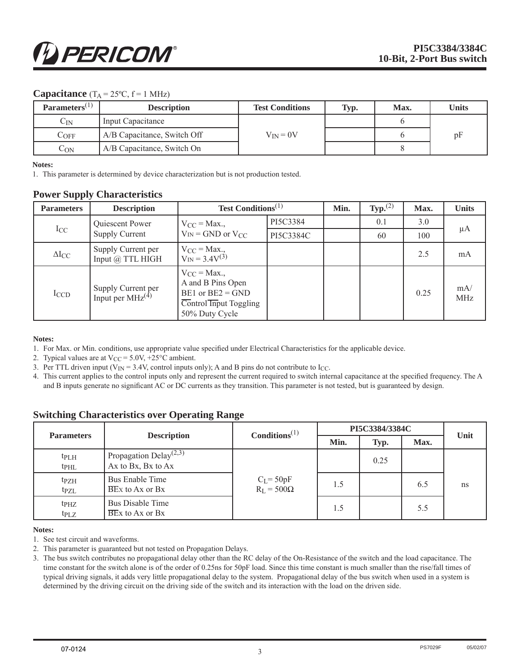#### **Capacitance**  $(T_A = 25^{\circ}C, f = 1 \text{ MHz})$

| Parameters $(1)$  | <b>Description</b>          | <b>Test Conditions</b> | Typ. | Max. | <b>Units</b> |
|-------------------|-----------------------------|------------------------|------|------|--------------|
| $\mathrm{C_{IN}}$ | Input Capacitance           |                        |      |      |              |
| $C$ OFF           | A/B Capacitance, Switch Off | $V_{IN} = 0V$          |      |      | pF           |
| $C_{ON}$          | A/B Capacitance, Switch On  |                        |      |      |              |

#### **Notes:**

1. This parameter is determined by device characterization but is not production tested.

#### **Power Supply Characteristics**

| <b>Parameters</b> | <b>Description</b>                                           | <b>Test Conditions</b> <sup>(1)</sup>                                                                     |           | Min. | $\text{Typ.}^{(2)}$ | Max. | <b>Units</b>      |
|-------------------|--------------------------------------------------------------|-----------------------------------------------------------------------------------------------------------|-----------|------|---------------------|------|-------------------|
|                   | Quiescent Power                                              | $V_{CC} = Max.$                                                                                           | PI5C3384  |      | 0.1                 | 3.0  |                   |
| $I_{CC}$          | <b>Supply Current</b>                                        | $V_{IN} = GND$ or $V_{CC}$                                                                                | PI5C3384C |      | 60                  | 100  | μA                |
| $\Delta I_{CC}$   | Supply Current per<br>Input @ TTL HIGH                       | $V_{CC}$ = Max.,<br>$V_{IN} = 3.4 V^{(3)}$                                                                |           |      |                     | 2.5  | mA                |
| ICCD              | Supply Current per Input per MHz <sup><math>(4)</math></sup> | $V_{CC}$ = Max.,<br>A and B Pins Open<br>$BE1$ or $BE2 = GND$<br>Control Input Toggling<br>50% Duty Cycle |           |      |                     | 0.25 | mA/<br><b>MHz</b> |

#### **Notes:**

- 1. For Max. or Min. conditions, use appropriate value specified under Electrical Characteristics for the applicable device.
- 2. Typical values are at  $V_{CC} = 5.0V$ , +25°C ambient.
- 3. Per TTL driven input ( $V_{IN} = 3.4V$ , control inputs only); A and B pins do not contribute to I<sub>CC</sub>.
- 4. This current applies to the control inputs only and represent the current required to switch internal capacitance at the specified frequency. The A and B inputs generate no significant AC or DC currents as they transition. This parameter is not tested, but is guaranteed by design.

### **Switching Characteristics over Operating Range**

| <b>Parameters</b>             | <b>Description</b>                                                    | $\text{Conditions}^{(1)}$         | PI5C3384/3384C |      |      | Unit |
|-------------------------------|-----------------------------------------------------------------------|-----------------------------------|----------------|------|------|------|
|                               |                                                                       |                                   | Min.           | Typ. | Max. |      |
| tp <sub>LH</sub><br>$tp_{HL}$ | Propagation Delay <sup><math>(2,3)</math></sup><br>Ax to Bx, Bx to Ax |                                   |                | 0.25 |      |      |
| t <sub>PZH</sub><br>tpZL      | Bus Enable Time<br>$BEx$ to Ax or $Bx$                                | $C_L = 50pF$<br>$R_L = 500\Omega$ | 1.5            |      | 6.5  | ns   |
| tpHZ<br>$tp_{LZ}$             | <b>Bus Disable Time</b><br>$BEx$ to Ax or $Bx$                        |                                   | 1.5            |      | 5.5  |      |

#### **Notes:**

- 1. See test circuit and waveforms.
- 2. This parameter is guaranteed but not tested on Propagation Delays.
- 3. The bus switch contributes no propagational delay other than the RC delay of the On-Resistance of the switch and the load capacitance. The time constant for the switch alone is of the order of 0.25ns for 50pF load. Since this time constant is much smaller than the rise/fall times of typical driving signals, it adds very little propagational delay to the system. Propagational delay of the bus switch when used in a system is determined by the driving circuit on the driving side of the switch and its interaction with the load on the driven side.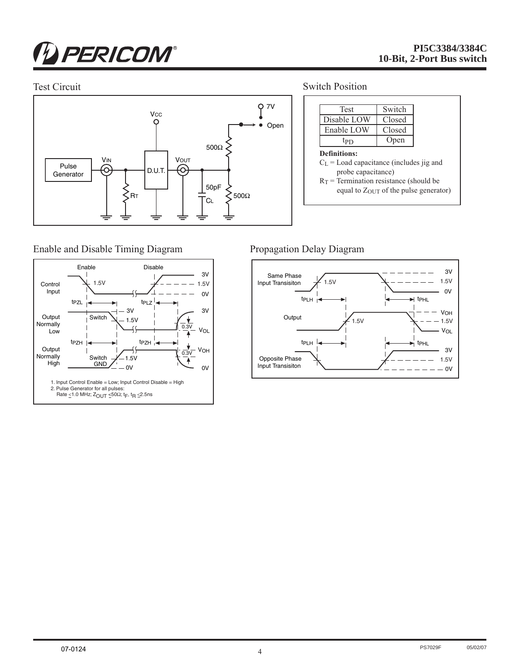# **D** PERICOM®

Enable and Disable Timing Diagram



Test Circuit Switch Position



# Propagation Delay Diagram



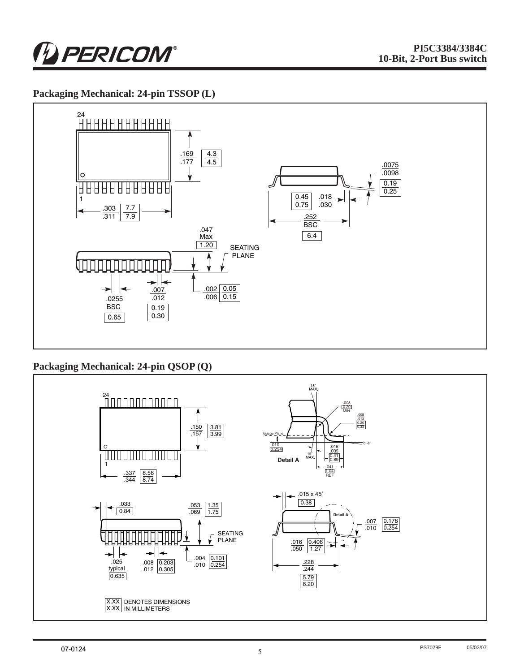

# **Packaging Mechanical: 24-pin TSSOP (L)**



# **Packaging Mechanical: 24-pin QSOP (Q)**